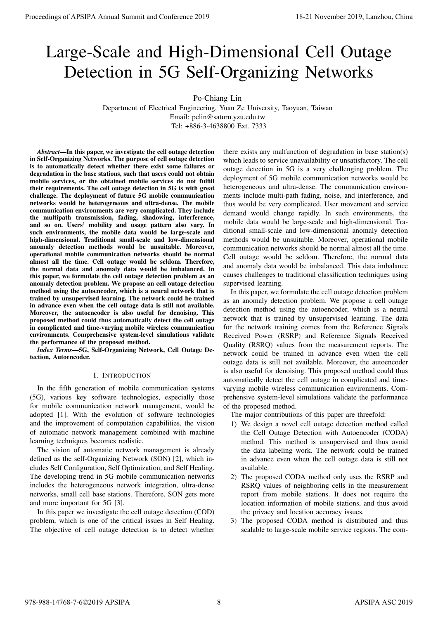# Large-Scale and High-Dimensional Cell Outage Detection in 5G Self-Organizing Networks

Po-Chiang Lin

Department of Electrical Engineering, Yuan Ze University, Taoyuan, Taiwan Email: pclin@saturn.yzu.edu.tw Tel: +886-3-4638800 Ext. 7333

*Abstract*—In this paper, we investigate the cell outage detection in Self-Organizing Networks. The purpose of cell outage detection is to automatically detect whether there exist some failures or degradation in the base stations, such that users could not obtain mobile services, or the obtained mobile services do not fulfill their requirements. The cell outage detection in 5G is with great challenge. The deployment of future 5G mobile communication networks would be heterogeneous and ultra-dense. The mobile communication environments are very complicated. They include the multipath transmission, fading, shadowing, interference, and so on. Users' mobility and usage pattern also vary. In such environments, the mobile data would be large-scale and high-dimensional. Traditional small-scale and low-dimensional anomaly detection methods would be unsuitable. Moreover, operational mobile communication networks should be normal almost all the time. Cell outage would be seldom. Therefore, the normal data and anomaly data would be imbalanced. In this paper, we formulate the cell outage detection problem as an anomaly detection problem. We propose an cell outage detection method using the autoencoder, which is a neural network that is trained by unsupervised learning. The network could be trained in advance even when the cell outage data is still not available. Moreover, the autoencoder is also useful for denoising. This proposed method could thus automatically detect the cell outage in complicated and time-varying mobile wireless communication environments. Comprehensive system-level simulations validate the performance of the proposed method. **Proceedings of APSIPA Annual Summit and Conference 2019**<br>
Lanzage Detection in SG Solf-Organizing Networks of the conference 2019<br>
Detection in SG Solf-Organizing Networks are also as a statement of the conference 2018 a

*Index Terms*—5G, Self-Organizing Network, Cell Outage Detection, Autoencoder.

### I. INTRODUCTION

In the fifth generation of mobile communication systems (5G), various key software technologies, especially those for mobile communication network management, would be adopted [1]. With the evolution of software technologies and the improvement of computation capabilities, the vision of automatic network management combined with machine learning techniques becomes realistic.

The vision of automatic network management is already defined as the self-Organizing Network (SON) [2], which includes Self Configuration, Self Optimization, and Self Healing. The developing trend in 5G mobile communication networks includes the heterogeneous network integration, ultra-dense networks, small cell base stations. Therefore, SON gets more and more important for 5G [3].

In this paper we investigate the cell outage detection (COD) problem, which is one of the critical issues in Self Healing. The objective of cell outage detection is to detect whether there exists any malfunction of degradation in base station(s) which leads to service unavailability or unsatisfactory. The cell outage detection in 5G is a very challenging problem. The deployment of 5G mobile communication networks would be heterogeneous and ultra-dense. The communication environments include multi-path fading, noise, and interference, and thus would be very complicated. User movement and service demand would change rapidly. In such environments, the mobile data would be large-scale and high-dimensional. Traditional small-scale and low-dimensional anomaly detection methods would be unsuitable. Moreover, operational mobile communication networks should be normal almost all the time. Cell outage would be seldom. Therefore, the normal data and anomaly data would be imbalanced. This data imbalance causes challenges to traditional classification techniques using supervised learning.

In this paper, we formulate the cell outage detection problem as an anomaly detection problem. We propose a cell outage detection method using the autoencoder, which is a neural network that is trained by unsupervised learning. The data for the network training comes from the Reference Signals Received Power (RSRP) and Reference Signals Received Quality (RSRQ) values from the measurement reports. The network could be trained in advance even when the cell outage data is still not available. Moreover, the autoencoder is also useful for denoising. This proposed method could thus automatically detect the cell outage in complicated and timevarying mobile wireless communication environments. Comprehensive system-level simulations validate the performance of the proposed method.

The major contributions of this paper are threefold:

- 1) We design a novel cell outage detection method called the Cell Outage Detection with Autoencoder (CODA) method. This method is unsupervised and thus avoid the data labeling work. The network could be trained in advance even when the cell outage data is still not available.
- 2) The proposed CODA method only uses the RSRP and RSRQ values of neighboring cells in the measurement report from mobile stations. It does not require the location information of mobile stations, and thus avoid the privacy and location accuracy issues.
- 3) The proposed CODA method is distributed and thus scalable to large-scale mobile service regions. The com-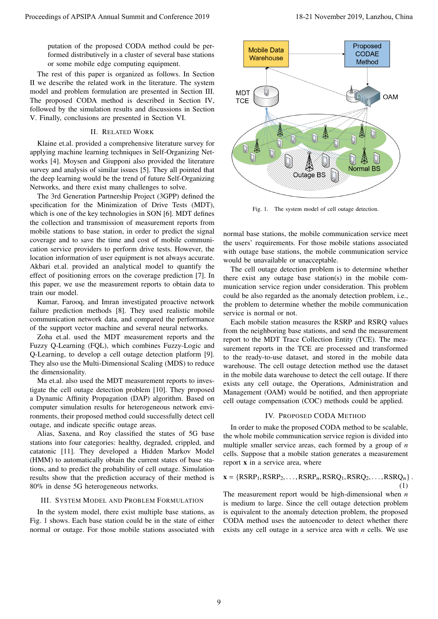putation of the proposed CODA method could be performed distributively in a cluster of several base stations or some mobile edge computing equipment.

The rest of this paper is organized as follows. In Section II we describe the related work in the literature. The system model and problem formulation are presented in Section III. The proposed CODA method is described in Section IV, followed by the simulation results and discussions in Section V. Finally, conclusions are presented in Section VI.

# II. RELATED WORK

Klaine et.al. provided a comprehensive literature survey for applying machine learning techniques in Self-Organizing Networks [4]. Moysen and Giupponi also provided the literature survey and analysis of similar issues [5]. They all pointed that the deep learning would be the trend of future Self-Organizing Networks, and there exist many challenges to solve.

The 3rd Generation Partnership Project (3GPP) defined the specification for the Minimization of Drive Tests (MDT), which is one of the key technologies in SON [6]. MDT defines the collection and transmission of measurement reports from mobile stations to base station, in order to predict the signal coverage and to save the time and cost of mobile communication service providers to perform drive tests. However, the location information of user equipment is not always accurate. Akbari et.al. provided an analytical model to quantify the effect of positioning errors on the coverage prediction [7]. In this paper, we use the measurement reports to obtain data to train our model.

Kumar, Farooq, and Imran investigated proactive network failure prediction methods [8]. They used realistic mobile communication network data, and compared the performance of the support vector machine and several neural networks.

Zoha et.al. used the MDT measurement reports and the Fuzzy Q-Learning (FQL), which combines Fuzzy-Logic and Q-Learning, to develop a cell outage detection platform [9]. They also use the Multi-Dimensional Scaling (MDS) to reduce the dimensionality.

Ma et.al. also used the MDT measurement reports to investigate the cell outage detection problem [10]. They proposed a Dynamic Affinity Propagation (DAP) algorithm. Based on computer simulation results for heterogeneous network environments, their proposed method could successfully detect cell outage, and indicate specific outage areas.

Alias, Saxena, and Roy classified the states of 5G base stations into four categories: healthy, degraded, crippled, and catatonic [11]. They developed a Hidden Markov Model (HMM) to automatically obtain the current states of base stations, and to predict the probability of cell outage. Simulation results show that the prediction accuracy of their method is 80% in dense 5G heterogeneous networks.

#### III. SYSTEM MODEL AND PROBLEM FORMULATION

In the system model, there exist multiple base stations, as Fig. 1 shows. Each base station could be in the state of either normal or outage. For those mobile stations associated with



Fig. 1. The system model of cell outage detection.

normal base stations, the mobile communication service meet the users' requirements. For those mobile stations associated with outage base stations, the mobile communication service would be unavailable or unacceptable.

The cell outage detection problem is to determine whether there exist any outage base station(s) in the mobile communication service region under consideration. This problem could be also regarded as the anomaly detection problem, i.e., the problem to determine whether the mobile communication service is normal or not.

Each mobile station measures the RSRP and RSRQ values from the neighboring base stations, and send the measurement report to the MDT Trace Collection Entity (TCE). The measurement reports in the TCE are processed and transformed to the ready-to-use dataset, and stored in the mobile data warehouse. The cell outage detection method use the dataset in the mobile data warehouse to detect the cell outage. If there exists any cell outage, the Operations, Administration and Management (OAM) would be notified, and then appropriate cell outage compensation (COC) methods could be applied.

## IV. PROPOSED CODA METHOD

In order to make the proposed CODA method to be scalable, the whole mobile communication service region is divided into multiple smaller service areas, each formed by a group of *n* cells. Suppose that a mobile station generates a measurement report **x** in a service area, where

$$
\mathbf{x} = \{RSRP_1,RSRP_2, \dots,RSRP_n,RSRQ_1,RSRQ_2, \dots,RSRQ_n\}.
$$
\n(1)

The measurement report would be high-dimensional when *n* is medium to large. Since the cell outage detection problem is equivalent to the anomaly detection problem, the proposed CODA method uses the autoencoder to detect whether there exists any cell outage in a service area with *n* cells. We use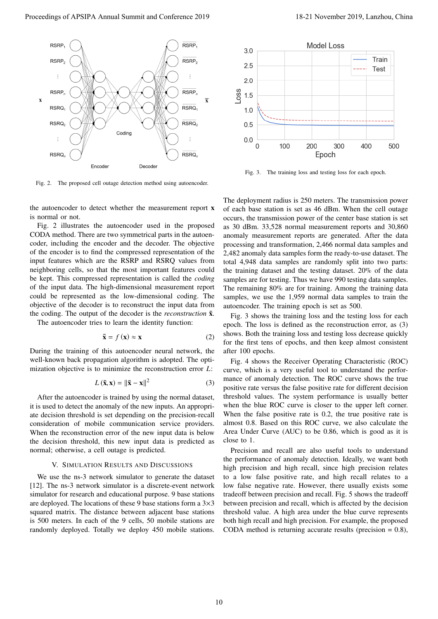

Fig. 2. The proposed cell outage detection method using autoencoder.

the autoencoder to detect whether the measurement report **x** is normal or not.

Fig. 2 illustrates the autoencoder used in the proposed CODA method. There are two symmetrical parts in the autoencoder, including the encoder and the decoder. The objective of the encoder is to find the compressed representation of the input features which are the RSRP and RSRQ values from neighboring cells, so that the most important features could be kept. This compressed representation is called the *coding* of the input data. The high-dimensional measurement report could be represented as the low-dimensional coding. The objective of the decoder is to reconstruct the input data from the coding. The output of the decoder is the *reconstruction*  $\bar{x}$ .

The autoencoder tries to learn the identity function:

$$
\bar{\mathbf{x}} = f(\mathbf{x}) \approx \mathbf{x} \tag{2}
$$

During the training of this autoencoder neural network, the well-known back propagation algorithm is adopted. The optimization objective is to minimize the reconstruction error *L*:

$$
L\left(\bar{\mathbf{x}}, \mathbf{x}\right) = \|\bar{\mathbf{x}} - \mathbf{x}\|^2 \tag{3}
$$

After the autoencoder is trained by using the normal dataset, it is used to detect the anomaly of the new inputs. An appropriate decision threshold is set depending on the precision-recall consideration of mobile communication service providers. When the reconstruction error of the new input data is below the decision threshold, this new input data is predicted as normal; otherwise, a cell outage is predicted.

## V. SIMULATION RESULTS AND DISCUSSIONS

We use the ns-3 network simulator to generate the dataset [12]. The ns-3 network simulator is a discrete-event network simulator for research and educational purpose. 9 base stations are deployed. The locations of these 9 base stations form a  $3\times3$ squared matrix. The distance between adjacent base stations is 500 meters. In each of the 9 cells, 50 mobile stations are randomly deployed. Totally we deploy 450 mobile stations.



Fig. 3. The training loss and testing loss for each epoch.

The deployment radius is 250 meters. The transmission power of each base station is set as 46 dBm. When the cell outage occurs, the transmission power of the center base station is set as 30 dBm. 33,528 normal measurement reports and 30,860 anomaly measurement reports are generated. After the data processing and transformation, 2,466 normal data samples and 2,482 anomaly data samples form the ready-to-use dataset. The total 4,948 data samples are randomly split into two parts: the training dataset and the testing dataset. 20% of the data samples are for testing. Thus we have 990 testing data samples. The remaining 80% are for training. Among the training data samples, we use the 1,959 normal data samples to train the autoencoder. The training epoch is set as 500.

Fig. 3 shows the training loss and the testing loss for each epoch. The loss is defined as the reconstruction error, as (3) shows. Both the training loss and testing loss decrease quickly for the first tens of epochs, and then keep almost consistent after 100 epochs.

Fig. 4 shows the Receiver Operating Characteristic (ROC) curve, which is a very useful tool to understand the performance of anomaly detection. The ROC curve shows the true positive rate versus the false positive rate for different decision threshold values. The system performance is usually better when the blue ROC curve is closer to the upper left corner. When the false positive rate is 0.2, the true positive rate is almost 0.8. Based on this ROC curve, we also calculate the Area Under Curve (AUC) to be 0.86, which is good as it is close to 1

Precision and recall are also useful tools to understand the performance of anomaly detection. Ideally, we want both high precision and high recall, since high precision relates to a low false positive rate, and high recall relates to a low false negative rate. However, there usually exists some tradeoff between precision and recall. Fig. 5 shows the tradeoff between precision and recall, which is affected by the decision threshold value. A high area under the blue curve represents both high recall and high precision. For example, the proposed CODA method is returning accurate results (precision  $= 0.8$ ),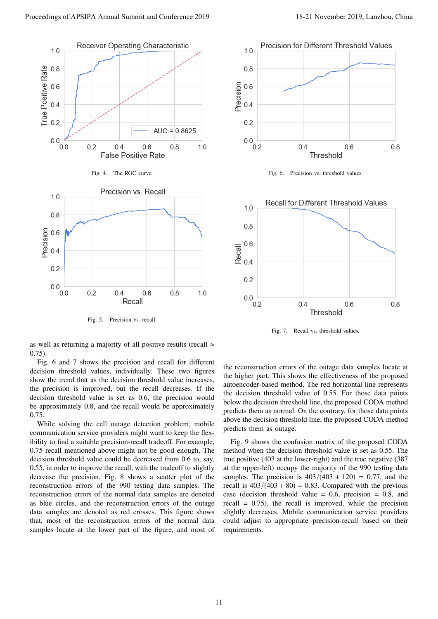

Fig. 5. Precision vs. recall.



Fig. 6. Precision vs. threshold values.



Fig. 7. Recall vs. threshold values.

as well as returning a majority of all positive results (recall  $\approx$ 0.75).

Fig. 6 and 7 shows the precision and recall for different decision threshold values, individually. These two figures show the trend that as the decision threshold value increases, the precision is improved, but the recall decreases. If the decision threshold value is set as 0.6, the precision would be approximately 0.8, and the recall would be approximately 0.75.

While solving the cell outage detection problem, mobile communication service providers might want to keep the flexibility to find a suitable precision-recall tradeoff. For example, 0.75 recall mentioned above might not be good enough. The decision threshold value could be decreased from 0.6 to, say, 0.55, in order to improve the recall, with the tradeoff to slightly decrease the precision. Fig. 8 shows a scatter plot of the reconstruction errors of the 990 testing data samples. The reconstruction errors of the normal data samples are denoted as blue circles, and the reconstruction errors of the outage data samples are denoted as red crosses. This figure shows that, most of the reconstruction errors of the normal data samples locate at the lower part of the figure, and most of the reconstruction errors of the outage data samples locate at the higher part. This shows the effectiveness of the proposed autoencoder-based method. The red horizontal line represents the decision threshold value of 0.55. For those data points below the decision threshold line, the proposed CODA method predicts them as normal. On the contrary, for those data points above the decision threshold line, the proposed CODA method predicts them as outage.

Fig. 9 shows the confusion matrix of the proposed CODA method when the decision threshold value is set as 0.55. The true positive (403 at the lower-right) and the true negative (387 at the upper-left) occupy the majority of the 990 testing data samples. The precision is  $403/(403 + 120) = 0.77$ , and the recall is  $403/(403 + 80) = 0.83$ . Compared with the previous case (decision threshold value  $= 0.6$ , precision  $= 0.8$ , and recall  $= 0.75$ , the recall is improved, while the precision slightly decreases. Mobile communication service providers could adjust to appropriate precision-recall based on their requirements.